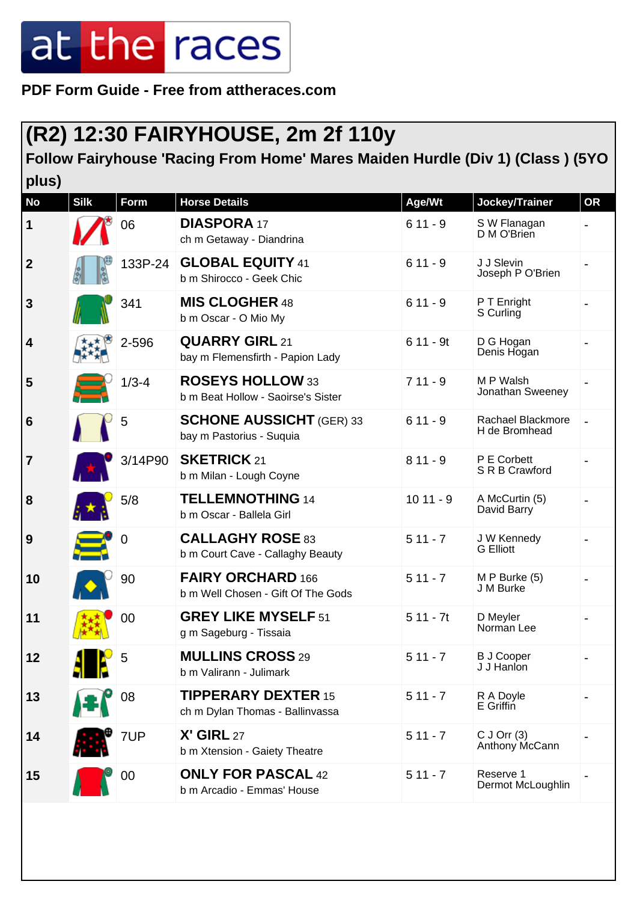**PDF Form Guide - Free from attheraces.com**

#### **(R2) 12:30 FAIRYHOUSE, 2m 2f 110y**

**Follow Fairyhouse 'Racing From Home' Mares Maiden Hurdle (Div 1) (Class ) (5YO plus)**

| <b>No</b>       | <b>Silk</b> | <b>Form</b> | <b>Horse Details</b>                                           | Age/Wt     | Jockey/Trainer                     | <b>OR</b> |
|-----------------|-------------|-------------|----------------------------------------------------------------|------------|------------------------------------|-----------|
| $\mathbf 1$     |             | 06          | <b>DIASPORA 17</b><br>ch m Getaway - Diandrina                 | $611 - 9$  | S W Flanagan<br>D M O'Brien        |           |
| $\overline{2}$  |             | 133P-24     | <b>GLOBAL EQUITY 41</b><br>b m Shirocco - Geek Chic            | $611 - 9$  | J J Slevin<br>Joseph P O'Brien     |           |
| $\mathbf{3}$    |             | 341         | <b>MIS CLOGHER 48</b><br>b m Oscar - O Mio My                  | $611 - 9$  | P T Enright<br>S Curling           |           |
| 4               |             | 2-596       | <b>QUARRY GIRL 21</b><br>bay m Flemensfirth - Papion Lady      | $611 - 9t$ | D G Hogan<br>Denis Hogan           |           |
| 5               |             | $1/3 - 4$   | <b>ROSEYS HOLLOW 33</b><br>b m Beat Hollow - Saoirse's Sister  | $711 - 9$  | M P Walsh<br>Jonathan Sweeney      |           |
| $6\phantom{1}6$ |             | 5           | <b>SCHONE AUSSICHT</b> (GER) 33<br>bay m Pastorius - Suquia    | $611 - 9$  | Rachael Blackmore<br>H de Bromhead |           |
| $\overline{7}$  |             | 3/14P90     | <b>SKETRICK 21</b><br>b m Milan - Lough Coyne                  | $811 - 9$  | P E Corbett<br>S R B Crawford      |           |
| 8               |             | 5/8         | <b>TELLEMNOTHING 14</b><br>b m Oscar - Ballela Girl            | $1011 - 9$ | A McCurtin (5)<br>David Barry      |           |
| 9               |             | $\mathbf 0$ | <b>CALLAGHY ROSE 83</b><br>b m Court Cave - Callaghy Beauty    | $511 - 7$  | J W Kennedy<br><b>G</b> Elliott    |           |
| 10              |             | 90          | <b>FAIRY ORCHARD 166</b><br>b m Well Chosen - Gift Of The Gods | $511 - 7$  | $M P$ Burke (5)<br>J M Burke       |           |
| 11              |             | 00          | <b>GREY LIKE MYSELF 51</b><br>g m Sageburg - Tissaia           | $511 - 7t$ | D Meyler<br>Norman Lee             |           |
| 12              | 71 I P      | 5           | <b>MULLINS CROSS 29</b><br>b m Valirann - Julimark             | $511 - 7$  | <b>B J Cooper</b><br>J J Hanlon    |           |
| 13              |             | 08          | <b>TIPPERARY DEXTER 15</b><br>ch m Dylan Thomas - Ballinvassa  | $511 - 7$  | R A Doyle<br>E Griffin             |           |
| 14              |             | 7UP         | X' GIRL 27<br>b m Xtension - Gaiety Theatre                    | $511 - 7$  | $C$ J Orr $(3)$<br>Anthony McCann  |           |
| 15              |             | 00          | <b>ONLY FOR PASCAL 42</b><br>b m Arcadio - Emmas' House        | $511 - 7$  | Reserve 1<br>Dermot McLoughlin     |           |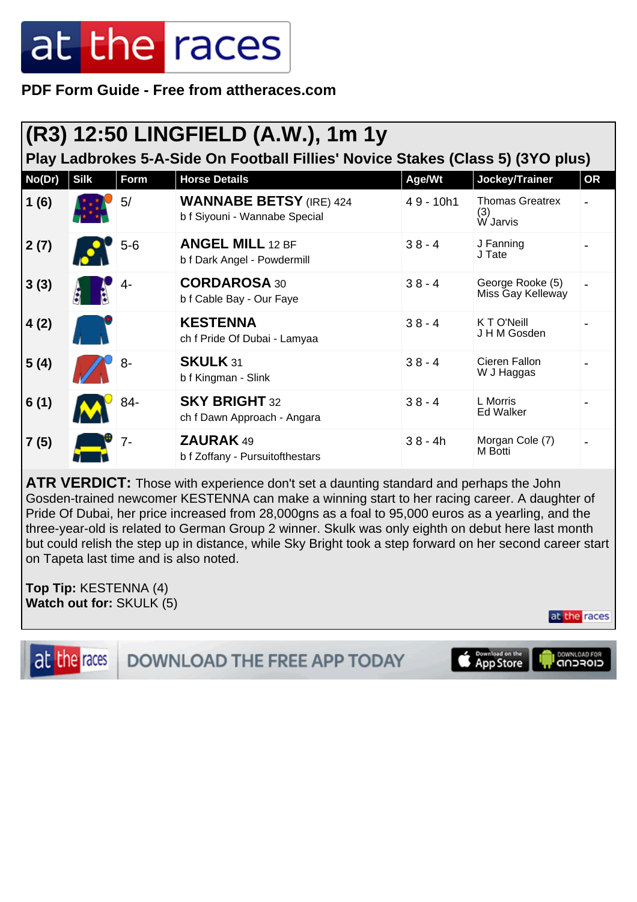**PDF Form Guide - Free from attheraces.com**

| (R3) 12:50 LINGFIELD (A.W.), 1m 1y<br>Play Ladbrokes 5-A-Side On Football Fillies' Novice Stakes (Class 5) (3YO plus) |             |       |                                                                 |             |                                           |    |  |  |
|-----------------------------------------------------------------------------------------------------------------------|-------------|-------|-----------------------------------------------------------------|-------------|-------------------------------------------|----|--|--|
| No(Dr)                                                                                                                | <b>Silk</b> | Form  | <b>Horse Details</b>                                            | Age/Wt      | Jockey/Trainer                            | OR |  |  |
| 1(6)                                                                                                                  |             | 5/    | <b>WANNABE BETSY</b> (IRE) 424<br>b f Siyouni - Wannabe Special | $49 - 10h1$ | <b>Thomas Greatrex</b><br>(3)<br>W Jarvis |    |  |  |
| 2(7)                                                                                                                  |             | $5-6$ | <b>ANGEL MILL 12 BF</b><br>b f Dark Angel - Powdermill          | $38 - 4$    | J Fanning<br>J Tate                       |    |  |  |
| 3(3)                                                                                                                  |             | $4-$  | <b>CORDAROSA 30</b><br>b f Cable Bay - Our Faye                 | $38 - 4$    | George Rooke (5)<br>Miss Gay Kelleway     |    |  |  |
| 4(2)                                                                                                                  |             |       | <b>KESTENNA</b><br>ch f Pride Of Dubai - Lamyaa                 | $38 - 4$    | K T O'Neill<br>J H M Gosden               |    |  |  |
| 5(4)                                                                                                                  |             | 8-    | SKULK 31<br>b f Kingman - Slink                                 | $38 - 4$    | Cieren Fallon<br>W J Haggas               |    |  |  |
| 6(1)                                                                                                                  |             | 84-   | <b>SKY BRIGHT 32</b><br>ch f Dawn Approach - Angara             | $38 - 4$    | L Morris<br>Ed Walker                     |    |  |  |
| 7(5)                                                                                                                  |             | $7-$  | <b>ZAURAK 49</b><br>b f Zoffany - Pursuitofthestars             | $38 - 4h$   | Morgan Cole (7)<br>M Botti                |    |  |  |

**ATR VERDICT:** Those with experience don't set a daunting standard and perhaps the John Gosden-trained newcomer KESTENNA can make a winning start to her racing career. A daughter of Pride Of Dubai, her price increased from 28,000gns as a foal to 95,000 euros as a yearling, and the three-year-old is related to German Group 2 winner. Skulk was only eighth on debut here last month but could relish the step up in distance, while Sky Bright took a step forward on her second career start on Tapeta last time and is also noted.

**Top Tip:** KESTENNA (4) **Watch out for:** SKULK (5)



at the races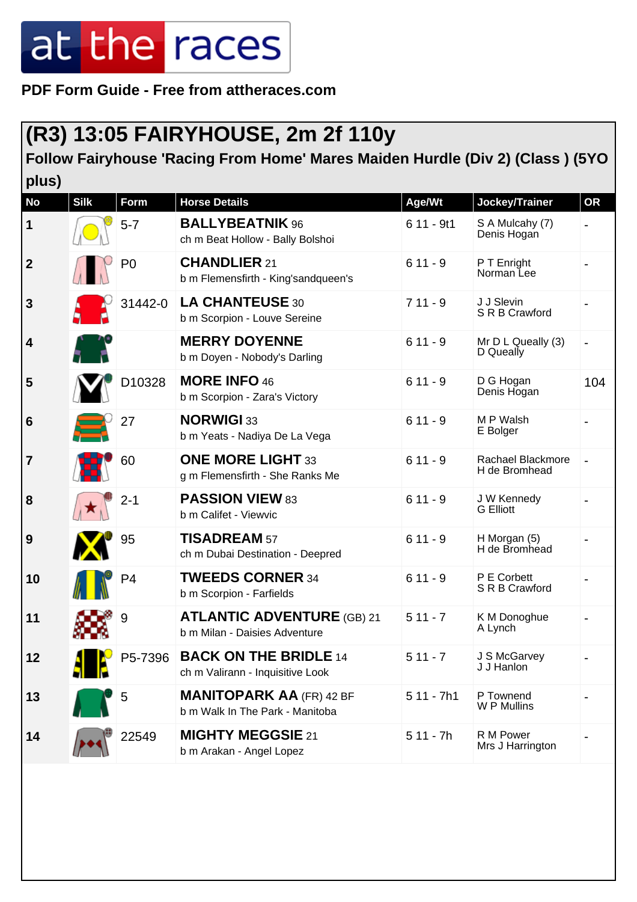**PDF Form Guide - Free from attheraces.com**

#### **(R3) 13:05 FAIRYHOUSE, 2m 2f 110y**

**Follow Fairyhouse 'Racing From Home' Mares Maiden Hurdle (Div 2) (Class ) (5YO plus)**

| <b>No</b>       | <b>Silk</b> | <b>Form</b>    | <b>Horse Details</b>                                               | Age/Wt      | Jockey/Trainer                     | <b>OR</b>                |
|-----------------|-------------|----------------|--------------------------------------------------------------------|-------------|------------------------------------|--------------------------|
| $\mathbf 1$     |             | $5 - 7$        | <b>BALLYBEATNIK 96</b><br>ch m Beat Hollow - Bally Bolshoi         | $611 - 9t1$ | S A Mulcahy (7)<br>Denis Hogan     |                          |
| $\overline{2}$  |             | P <sub>0</sub> | <b>CHANDLIER 21</b><br>b m Flemensfirth - King'sandqueen's         | $611 - 9$   | P T Enright<br>Norman Lee          |                          |
| $\mathbf{3}$    |             | 31442-0        | LA CHANTEUSE 30<br>b m Scorpion - Louve Sereine                    | $711 - 9$   | J J Slevin<br>S R B Crawford       |                          |
| 4               |             |                | <b>MERRY DOYENNE</b><br>b m Doyen - Nobody's Darling               | $611 - 9$   | Mr D L Queally (3)<br>D Queally    |                          |
| 5               |             | D10328         | <b>MORE INFO 46</b><br>b m Scorpion - Zara's Victory               | $611 - 9$   | D G Hogan<br>Denis Hogan           | 104                      |
| $6\phantom{1}6$ |             | 27             | <b>NORWIGI 33</b><br>b m Yeats - Nadiya De La Vega                 | $611 - 9$   | M P Walsh<br>E Bolger              |                          |
| $\overline{7}$  |             | 60             | <b>ONE MORE LIGHT 33</b><br>g m Flemensfirth - She Ranks Me        | $611 - 9$   | Rachael Blackmore<br>H de Bromhead | $\overline{\phantom{a}}$ |
| 8               |             | $2 - 1$        | <b>PASSION VIEW 83</b><br>b m Califet - Viewvic                    | $611 - 9$   | J W Kennedy<br><b>G</b> Elliott    |                          |
| 9               |             | 95             | <b>TISADREAM 57</b><br>ch m Dubai Destination - Deepred            | $611 - 9$   | H Morgan (5)<br>H de Bromhead      |                          |
| 10              |             | P <sub>4</sub> | <b>TWEEDS CORNER 34</b><br>b m Scorpion - Farfields                | $611 - 9$   | P E Corbett<br>S R B Crawford      |                          |
| 11              |             | 9              | <b>ATLANTIC ADVENTURE (GB) 21</b><br>b m Milan - Daisies Adventure | $511 - 7$   | K M Donoghue<br>A Lynch            |                          |
| 12              | - IP        | P5-7396        | <b>BACK ON THE BRIDLE 14</b><br>ch m Valirann - Inquisitive Look   | $511 - 7$   | J S McGarvey<br>J J Hanlon         |                          |
| 13              |             | 5              | <b>MANITOPARK AA (FR) 42 BF</b><br>b m Walk In The Park - Manitoba | $511 - 7h1$ | P Townend<br>W P Mullins           |                          |
| 14              |             | 22549          | <b>MIGHTY MEGGSIE 21</b><br>b m Arakan - Angel Lopez               | $511 - 7h$  | R M Power<br>Mrs J Harrington      |                          |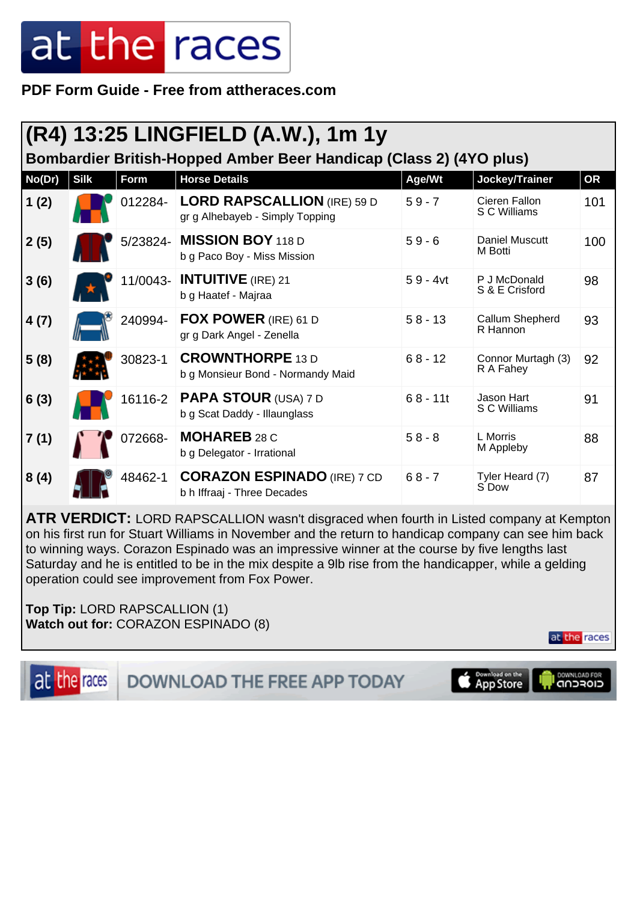**PDF Form Guide - Free from attheraces.com**

| (R4) 13:25 LINGFIELD (A.W.), 1m 1y                                 |             |         |                                                                       |            |                                 |           |  |  |
|--------------------------------------------------------------------|-------------|---------|-----------------------------------------------------------------------|------------|---------------------------------|-----------|--|--|
| Bombardier British-Hopped Amber Beer Handicap (Class 2) (4YO plus) |             |         |                                                                       |            |                                 |           |  |  |
| No(Dr)                                                             | <b>Silk</b> | Form    | <b>Horse Details</b>                                                  | Age/Wt     | Jockey/Trainer                  | <b>OR</b> |  |  |
| 1(2)                                                               |             | 012284- | <b>LORD RAPSCALLION (IRE) 59 D</b><br>gr g Alhebayeb - Simply Topping | $59 - 7$   | Cieren Fallon<br>S C Williams   | 101       |  |  |
| 2(5)                                                               |             |         | 5/23824- MISSION BOY 118 D<br>b g Paco Boy - Miss Mission             | $59 - 6$   | Daniel Muscutt<br>M Botti       | 100       |  |  |
| 3(6)                                                               |             |         | 11/0043- <b>INTUITIVE</b> (IRE) 21<br>b g Haatef - Majraa             | $59 - 4vt$ | P J McDonald<br>S & E Crisford  | 98        |  |  |
| 4(7)                                                               |             | 240994- | <b>FOX POWER</b> (IRE) 61 D<br>gr g Dark Angel - Zenella              | $58 - 13$  | Callum Shepherd<br>R Hannon     | 93        |  |  |
| 5(8)                                                               |             | 30823-1 | <b>CROWNTHORPE 13 D</b><br>b g Monsieur Bond - Normandy Maid          | $68 - 12$  | Connor Murtagh (3)<br>R A Fahey | 92        |  |  |
| 6(3)                                                               |             | 16116-2 | <b>PAPA STOUR (USA) 7 D</b><br>b g Scat Daddy - Illaunglass           | $68 - 11t$ | Jason Hart<br>S C Williams      | 91        |  |  |
| 7(1)                                                               |             | 072668- | <b>MOHAREB 28 C</b><br>b g Delegator - Irrational                     | $58 - 8$   | L Morris<br>M Appleby           | 88        |  |  |
| 8(4)                                                               |             | 48462-1 | <b>CORAZON ESPINADO</b> (IRE) 7 CD<br>b h Iffraaj - Three Decades     | $68 - 7$   | Tyler Heard (7)<br>S Dow        | 87        |  |  |

**ATR VERDICT:** LORD RAPSCALLION wasn't disgraced when fourth in Listed company at Kempton on his first run for Stuart Williams in November and the return to handicap company can see him back to winning ways. Corazon Espinado was an impressive winner at the course by five lengths last Saturday and he is entitled to be in the mix despite a 9lb rise from the handicapper, while a gelding operation could see improvement from Fox Power.

**Top Tip:** LORD RAPSCALLION (1) **Watch out for:** CORAZON ESPINADO (8)

at the races

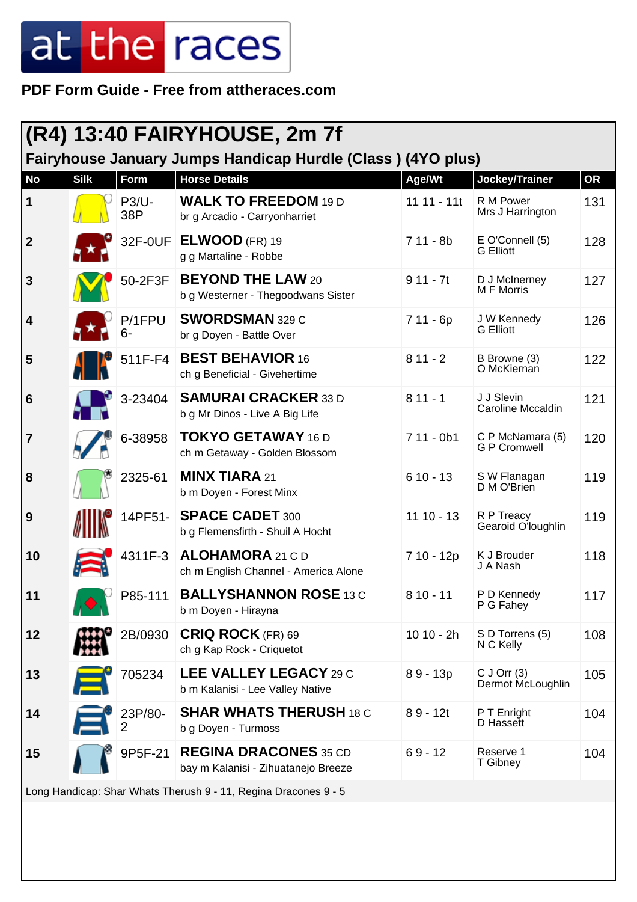**PDF Form Guide - Free from attheraces.com**

| <b>(R4) 13:40 FAIRYHOUSE, 2m 7f</b>                             |             |                           |                                                                     |               |                                         |           |
|-----------------------------------------------------------------|-------------|---------------------------|---------------------------------------------------------------------|---------------|-----------------------------------------|-----------|
|                                                                 |             |                           | Fairyhouse January Jumps Handicap Hurdle (Class) (4YO plus)         |               |                                         |           |
| <b>No</b>                                                       | <b>Silk</b> | Form                      | <b>Horse Details</b>                                                | Age/Wt        | Jockey/Trainer                          | <b>OR</b> |
| $\vert$ 1                                                       |             | <b>P3/U-</b><br>38P       | <b>WALK TO FREEDOM 19 D</b><br>br g Arcadio - Carryonharriet        | $11 11 - 11t$ | R M Power<br>Mrs J Harrington           | 131       |
| $\overline{2}$                                                  |             | 32F-0UF                   | $ELWOOD$ (FR) 19<br>g g Martaline - Robbe                           | $711 - 8b$    | E O'Connell (5)<br><b>G</b> Elliott     | 128       |
| $\mathbf{3}$                                                    |             | 50-2F3F                   | <b>BEYOND THE LAW 20</b><br>b g Westerner - Thegoodwans Sister      | $911 - 7t$    | D J McInerney<br>M F Morris             | 127       |
| 4                                                               |             | P/1FPU<br>6-              | <b>SWORDSMAN 329 C</b><br>br g Doyen - Battle Over                  | $711 - 6p$    | J W Kennedy<br><b>G</b> Elliott         | 126       |
| 5                                                               |             | 511F-F4                   | <b>BEST BEHAVIOR 16</b><br>ch g Beneficial - Givehertime            | $811 - 2$     | B Browne (3)<br>O McKiernan             | 122       |
| 6                                                               |             | 3-23404                   | <b>SAMURAI CRACKER 33 D</b><br>b g Mr Dinos - Live A Big Life       | $811 - 1$     | J J Slevin<br>Caroline Mccaldin         | 121       |
| 7                                                               |             | 6-38958                   | <b>TOKYO GETAWAY 16 D</b><br>ch m Getaway - Golden Blossom          | $711 - 0b1$   | C P McNamara (5)<br><b>G P Cromwell</b> | 120       |
| 8                                                               |             | 2325-61                   | <b>MINX TIARA 21</b><br>b m Doyen - Forest Minx                     | $610 - 13$    | S W Flanagan<br>D M O'Brien             | 119       |
| 9                                                               |             | 14PF51-                   | <b>SPACE CADET 300</b><br>b g Flemensfirth - Shuil A Hocht          | $1110 - 13$   | R P Treacy<br>Gearoid O'loughlin        | 119       |
| 10                                                              |             | 4311F-3                   | ALOHAMORA 21 C D<br>ch m English Channel - America Alone            | 7 10 - 12p    | K J Brouder<br>J A Nash                 | 118       |
| 11                                                              |             | P85-111                   | <b>BALLYSHANNON ROSE 13 C</b><br>b m Doyen - Hirayna                | $810 - 11$    | P D Kennedy<br>P G Fahey                | 117       |
| 12                                                              |             | 2B/0930                   | <b>CRIQ ROCK</b> (FR) 69<br>ch g Kap Rock - Criquetot               | $10 10 - 2h$  | S D Torrens (5)<br>N C Kelly            | 108       |
| 13                                                              |             | 705234                    | LEE VALLEY LEGACY 29 C<br>b m Kalanisi - Lee Valley Native          | $89 - 13p$    | $C$ J Orr $(3)$<br>Dermot McLoughlin    | 105       |
| 14                                                              |             | 23P/80-<br>$\overline{2}$ | <b>SHAR WHATS THERUSH 18 C</b><br>b g Doyen - Turmoss               | $89 - 12t$    | P T Enright<br>D Hassett                | 104       |
| 15                                                              |             | 9P5F-21                   | <b>REGINA DRACONES 35 CD</b><br>bay m Kalanisi - Zihuatanejo Breeze | $69 - 12$     | Reserve 1<br>T Gibney                   | 104       |
| Long Handicap: Shar Whats Therush 9 - 11, Regina Dracones 9 - 5 |             |                           |                                                                     |               |                                         |           |